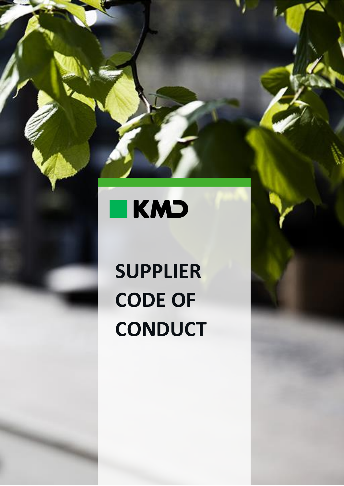# **EKMD**

# **SUPPLIER CODE OF CONDUCT**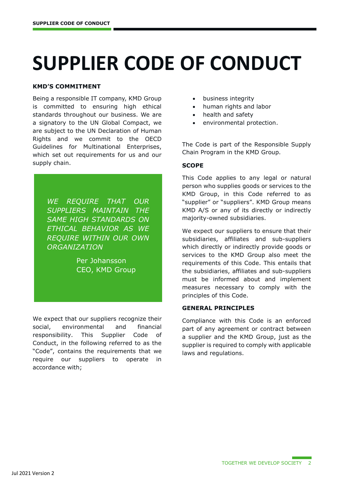# **SUPPLIER CODE OF CONDUCT**

#### **KMD'S COMMITMENT**

Being a responsible IT company, KMD Group is committed to ensuring high ethical standards throughout our business. We are a signatory to the UN Global Compact, we are subject to the UN Declaration of Human Rights and we commit to the OECD Guidelines for Multinational Enterprises, which set out requirements for us and our supply chain.

> *WE REQUIRE THAT OUR SUPPLIERS MAINTAIN THE SAME HIGH STANDARDS ON ETHICAL BEHAVIOR AS WE REQUIRE WITHIN OUR OWN ORGANIZATION*

> > Per Johansson CEO, KMD Group

We expect that our suppliers recognize their social, environmental and financial responsibility. This Supplier Code of Conduct, in the following referred to as the "Code", contains the requirements that we require our suppliers to operate in accordance with;

- business integrity
- human rights and labor
- health and safety
- environmental protection.

The Code is part of the Responsible Supply Chain Program in the KMD Group.

# **SCOPE**

This Code applies to any legal or natural person who supplies goods or services to the KMD Group, in this Code referred to as "supplier" or "suppliers". KMD Group means KMD A/S or any of its directly or indirectly majority-owned subsidiaries.

We expect our suppliers to ensure that their subsidiaries, affiliates and sub-suppliers which directly or indirectly provide goods or services to the KMD Group also meet the requirements of this Code. This entails that the subsidiaries, affiliates and sub-suppliers must be informed about and implement measures necessary to comply with the principles of this Code.

# **GENERAL PRINCIPLES**

Compliance with this Code is an enforced part of any agreement or contract between a supplier and the KMD Group, just as the supplier is required to comply with applicable laws and regulations.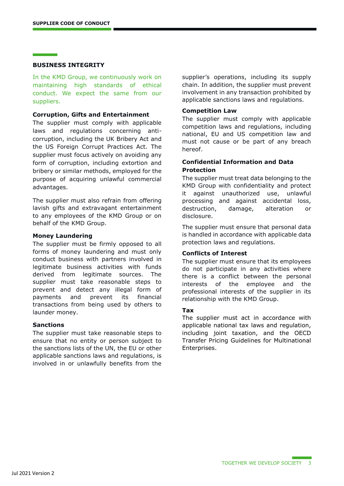#### **BUSINESS INTEGRITY**

In the KMD Group, we continuously work on maintaining high standards of ethical conduct. We expect the same from our suppliers.

#### **Corruption, Gifts and Entertainment**

The supplier must comply with applicable laws and regulations concerning anticorruption, including the UK Bribery Act and the US Foreign Corrupt Practices Act. The supplier must focus actively on avoiding any form of corruption, including extortion and bribery or similar methods, employed for the purpose of acquiring unlawful commercial advantages.

The supplier must also refrain from offering lavish gifts and extravagant entertainment to any employees of the KMD Group or on behalf of the KMD Group.

#### **Money Laundering**

The supplier must be firmly opposed to all forms of money laundering and must only conduct business with partners involved in legitimate business activities with funds derived from legitimate sources. The supplier must take reasonable steps to prevent and detect any illegal form of payments and prevent its financial transactions from being used by others to launder money.

#### **Sanctions**

The supplier must take reasonable steps to ensure that no entity or person subject to the sanctions lists of the UN, the EU or other applicable sanctions laws and regulations, is involved in or unlawfully benefits from the

supplier's operations, including its supply chain. In addition, the supplier must prevent involvement in any transaction prohibited by applicable sanctions laws and regulations.

#### **Competition Law**

The supplier must comply with applicable competition laws and regulations, including national, EU and US competition law and must not cause or be part of any breach hereof.

# **Confidential Information and Data Protection**

The supplier must treat data belonging to the KMD Group with confidentiality and protect it against unauthorized use, unlawful processing and against accidental loss, destruction, damage, alteration or disclosure.

The supplier must ensure that personal data is handled in accordance with applicable data protection laws and regulations.

# **Conflicts of Interest**

The supplier must ensure that its employees do not participate in any activities where there is a conflict between the personal interests of the employee and the professional interests of the supplier in its relationship with the KMD Group.

#### **Tax**

The supplier must act in accordance with applicable national tax laws and regulation, including joint taxation, and the OECD Transfer Pricing Guidelines for Multinational Enterprises.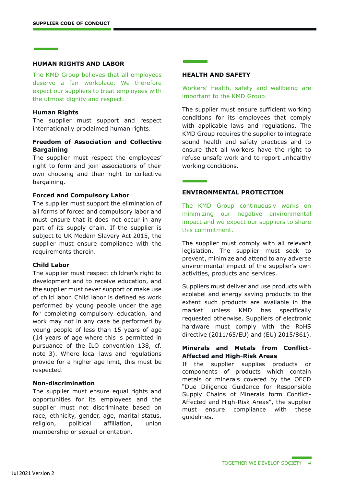# **HUMAN RIGHTS AND LABOR**

The KMD Group believes that all employees deserve a fair workplace. We therefore expect our suppliers to treat employees with the utmost dignity and respect.

#### **Human Rights**

The supplier must support and respect internationally proclaimed human rights.

# **Freedom of Association and Collective Bargaining**

The supplier must respect the employees' right to form and join associations of their own choosing and their right to collective bargaining.

#### **Forced and Compulsory Labor**

The supplier must support the elimination of all forms of forced and compulsory labor and must ensure that it does not occur in any part of its supply chain. If the supplier is subject to UK Modern Slavery Act 2015, the supplier must ensure compliance with the requirements therein.

#### **Child Labor**

The supplier must respect children's right to development and to receive education, and the supplier must never support or make use of child labor. Child labor is defined as work performed by young people under the age for completing compulsory education, and work may not in any case be performed by young people of less than 15 years of age (14 years of age where this is permitted in pursuance of the ILO convention 138, cf. note 3). Where local laws and regulations provide for a higher age limit, this must be respected.

# **Non-discrimination**

The supplier must ensure equal rights and opportunities for its employees and the supplier must not discriminate based on race, ethnicity, gender, age, marital status, religion, political affiliation, union membership or sexual orientation.

#### **HEALTH AND SAFETY**

Workers' health, safety and wellbeing are important to the KMD Group.

The supplier must ensure sufficient working conditions for its employees that comply with applicable laws and regulations. The KMD Group requires the supplier to integrate sound health and safety practices and to ensure that all workers have the right to refuse unsafe work and to report unhealthy working conditions.

# **ENVIRONMENTAL PROTECTION**

The KMD Group continuously works on minimizing our negative environmental impact and we expect our suppliers to share this commitment.

The supplier must comply with all relevant legislation. The supplier must seek to prevent, minimize and attend to any adverse environmental impact of the supplier's own activities, products and services.

Suppliers must deliver and use products with ecolabel and energy saving products to the extent such products are available in the market unless KMD has specifically requested otherwise. Suppliers of electronic hardware must comply with the RoHS directive (2011/65/EU) and (EU) 2015/861).

# **Minerals and Metals from Conflict-Affected and High-Risk Areas**

If the supplier supplies products or components of products which contain metals or minerals covered by the OECD "Due Diligence Guidance for Responsible Supply Chains of Minerals form Conflict-Affected and High-Risk Areas", the supplier must ensure compliance with these guidelines.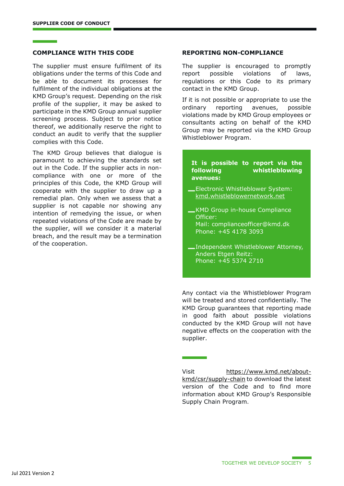#### **COMPLIANCE WITH THIS CODE**

The supplier must ensure fulfilment of its obligations under the terms of this Code and be able to document its processes for fulfilment of the individual obligations at the KMD Group's request. Depending on the risk profile of the supplier, it may be asked to participate in the KMD Group annual supplier screening process. Subject to prior notice thereof, we additionally reserve the right to conduct an audit to verify that the supplier complies with this Code.

The KMD Group believes that dialogue is paramount to achieving the standards set out in the Code. If the supplier acts in noncompliance with one or more of the principles of this Code, the KMD Group will cooperate with the supplier to draw up a remedial plan. Only when we assess that a supplier is not capable nor showing any intention of remedying the issue, or when repeated violations of the Code are made by the supplier, will we consider it a material breach, and the result may be a termination of the cooperation.

#### **REPORTING NON-COMPLIANCE**

The supplier is encouraged to promptly report possible violations of laws, regulations or this Code to its primary contact in the KMD Group.

If it is not possible or appropriate to use the ordinary reporting avenues, possible violations made by KMD Group employees or consultants acting on behalf of the KMD Group may be reported via the KMD Group Whistleblower Program.

# **It is possible to report via the following whistleblowing avenues:**

- **—**Electronic Whistleblower System: [kmd.whistleblowernetwork.net](file://///kmd1h/priv4/Z6MNX/2.%20Anti-Corruption/Adfærdskodeks%20-%20Leverandører/Leverandørkodeks%20v2.0%20-%20drafts/Design/Compliance%20with%20this%20Code)
- **—**KMD Group in-house Compliance Officer: Mail: complianceofficer@kmd.dk Phone: +45 4178 3093
- **—**Independent Whistleblower Attorney, Anders Etgen Reitz: Phone: +45 5374 2710

Any contact via the Whistleblower Program will be treated and stored confidentially. The KMD Group guarantees that reporting made in good faith about possible violations conducted by the KMD Group will not have negative effects on the cooperation with the supplier.

Visit [https://www.kmd.net/about](https://www.kmd.net/about-kmd/csr/supply-chain)[kmd/csr/supply-chain](https://www.kmd.net/about-kmd/csr/supply-chain) to download the latest version of the Code and to find more information about KMD Group's Responsible Supply Chain Program.